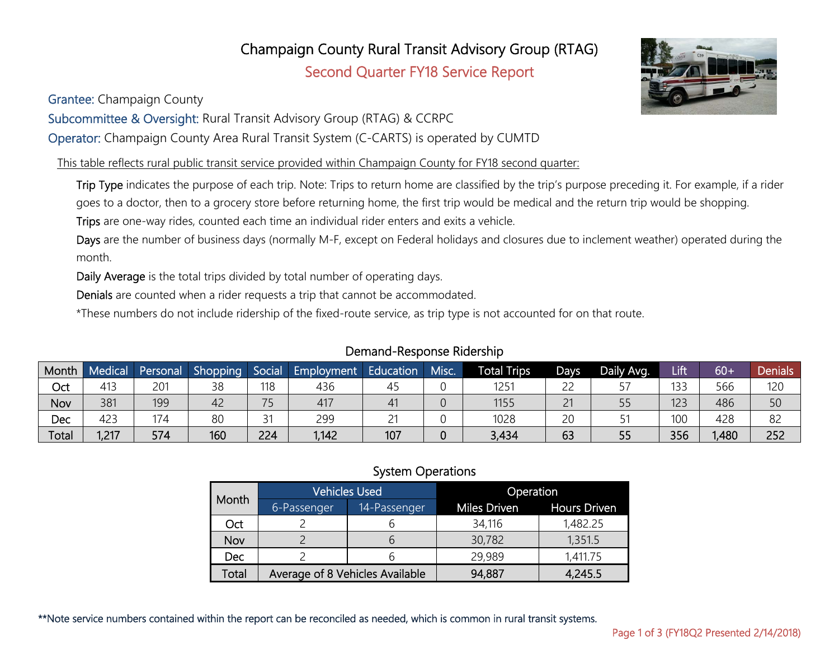#### **Oct** | 2 | 6 | 34,116 | 1,482.25

\*\*Note service numbers contained within the report can be reconciled as needed, which is common in rural transit systems.

|  | Month      |             | Vehicles Used                   | Operation    |                     |  |  |
|--|------------|-------------|---------------------------------|--------------|---------------------|--|--|
|  |            | 6-Passenger | 14-Passenger                    | Miles Driven | <b>Hours Driven</b> |  |  |
|  | Oct        |             |                                 | 34,116       | 1,482.25            |  |  |
|  | Nov        |             |                                 | 30,782       | 1,351.5             |  |  |
|  | <b>Dec</b> |             |                                 | 29,989       | 1,411.75            |  |  |
|  | Total      |             | Average of 8 Vehicles Available | 94,887       | 4,245.5             |  |  |

Champaign County Rural Transit Advisory Group (RTAG)

Second Quarter FY18 Service Report

Grantee: Champaign County

Subcommittee & Oversight: Rural Transit Advisory Group (RTAG) & CCRPC

Operator: Champaign County Area Rural Transit System (C-CARTS) is operated by CUMTD

This table reflects rural public transit service provided within Champaign County for FY18 second quarter:

Trip Type indicates the purpose of each trip. Note: Trips to return home are classified by the trip's purpose preceding it. For example, if a rider goes to a doctor, then to a grocery store before returning home, the first trip would be medical and the return trip would be shopping.

Trips are one-way rides, counted each time an individual rider enters and exits a vehicle.

Days are the number of business days (normally M-F, except on Federal holidays and closures due to inclement weather) operated during the month.

Daily Average is the total trips divided by total number of operating days.

Denials are counted when a rider requests a trip that cannot be accommodated.

\*These numbers do not include ridership of the fixed-route service, as trip type is not accounted for on that route.

### Month Medical Personal Shopping Social Employment Education Misc. Total Trips Days Daily Avg. Lift 60+ Denials Oct | 413 | 201 | 38 | 118 | 436 | 45 | 0 | 1251 | 22 | 57 | 133 | 566 | 120 Nov | 381 | 199 | 42 | 75 | 417 | 41 | 0 | 1155 | 21 | 55 | 123 | 486 | 50 Dec | 423 | 174 | 80 | 31 | 299 | 21 | 0 | 1028 | 20 | 51 | 100 | 428 | 82 Total | 1,217 | 574 | 160 | 224 | 1,142 | 107 | 0 | 3,434 | 63 | 55 | 356 | 1,480 | 252

System Operations

### Demand-Response Ridership



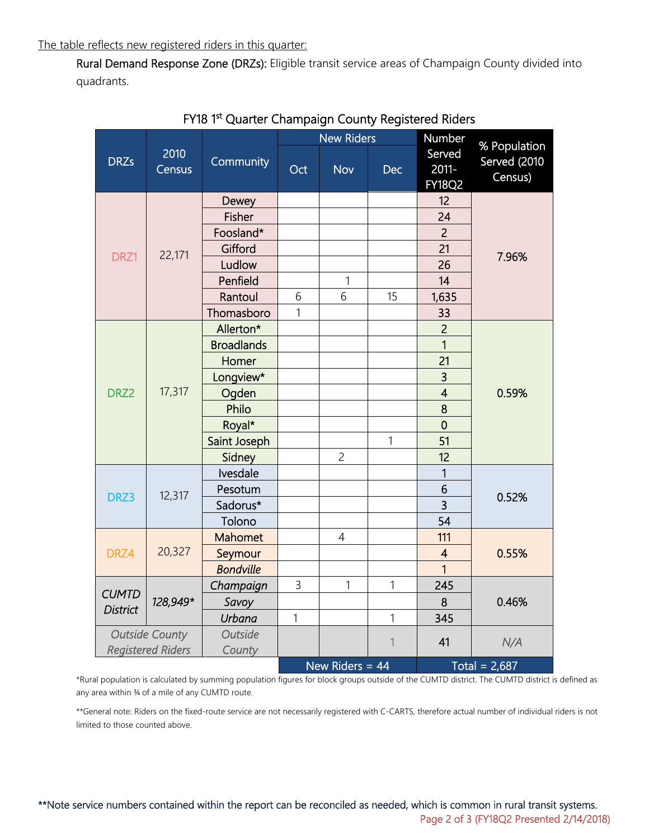Rural Demand Response Zone (DRZs): Eligible transit service areas of Champaign County divided into quadrants.

|                                    |                |                   |                   | <b>New Riders</b> |              | Number                              | % Population<br>Served (2010<br>Census) |  |  |
|------------------------------------|----------------|-------------------|-------------------|-------------------|--------------|-------------------------------------|-----------------------------------------|--|--|
| <b>DRZs</b>                        | 2010<br>Census | Community         | Oct               | <b>Nov</b>        | <b>Dec</b>   | Served<br>$2011 -$<br><b>FY18Q2</b> |                                         |  |  |
|                                    |                | Dewey             |                   |                   |              | 12                                  |                                         |  |  |
|                                    | 22,171         | <b>Fisher</b>     |                   |                   |              | 24                                  |                                         |  |  |
|                                    |                | Foosland*         |                   |                   |              | $\overline{2}$                      |                                         |  |  |
| DRZ1                               |                | Gifford           |                   |                   |              | 21                                  | 7.96%                                   |  |  |
|                                    |                | Ludlow            |                   |                   |              | 26                                  |                                         |  |  |
|                                    |                | Penfield          |                   | $\mathbf{1}$      |              | 14                                  |                                         |  |  |
|                                    |                | Rantoul           | 6                 | 6                 | 15           | 1,635                               |                                         |  |  |
|                                    |                | Thomasboro        | 1                 |                   |              | 33                                  |                                         |  |  |
|                                    | 17,317         | Allerton*         |                   |                   |              | $\overline{2}$                      |                                         |  |  |
|                                    |                | <b>Broadlands</b> |                   |                   |              | $\overline{1}$                      |                                         |  |  |
|                                    |                | Homer             |                   |                   |              | 21                                  |                                         |  |  |
|                                    |                | Longview*         |                   |                   |              | $\overline{\mathbf{3}}$             |                                         |  |  |
| DRZ2                               |                | Ogden             |                   |                   |              | $\overline{\mathbf{4}}$             | 0.59%                                   |  |  |
|                                    |                | Philo             |                   |                   |              | 8                                   |                                         |  |  |
|                                    |                | Royal*            |                   |                   |              | $\overline{0}$                      |                                         |  |  |
|                                    |                | Saint Joseph      |                   |                   | $\mathbf{1}$ | 51                                  |                                         |  |  |
|                                    |                | Sidney            |                   | $\overline{c}$    |              | 12                                  |                                         |  |  |
|                                    | 12,317         | Ivesdale          |                   |                   |              | 1                                   |                                         |  |  |
| DRZ3                               |                | Pesotum           |                   |                   |              | 6                                   | 0.52%                                   |  |  |
|                                    |                | Sadorus*          |                   |                   |              | $\overline{3}$                      |                                         |  |  |
|                                    |                | Tolono            |                   |                   |              | 54                                  |                                         |  |  |
|                                    | 20,327         | <b>Mahomet</b>    |                   | 4                 |              | 111                                 |                                         |  |  |
| DRZ4                               |                | Seymour           |                   |                   |              | $\overline{\mathbf{4}}$             | 0.55%                                   |  |  |
|                                    |                | <b>Bondville</b>  |                   |                   |              | $\overline{1}$                      |                                         |  |  |
|                                    | 128,949*       | Champaign         | 3                 | $\mathbf{1}$      | 1            | 245                                 |                                         |  |  |
| <b>CUMTD</b>                       |                | Savoy             |                   |                   |              | 8                                   | 0.46%                                   |  |  |
| <b>District</b>                    |                | <b>Urbana</b>     | 1                 |                   | $\mathbf{1}$ | 345                                 |                                         |  |  |
| <b>Outside County</b>              |                | Outside           |                   |                   |              |                                     |                                         |  |  |
| <b>Registered Riders</b><br>County |                |                   |                   |                   | $\mathbf 1$  | 41                                  | N/A                                     |  |  |
|                                    |                |                   | New Riders = $44$ |                   |              | Total = $2,687$                     |                                         |  |  |

FY18 1<sup>st</sup> Quarter Champaign County Registered Riders

\*Rural population is calculated by summing population figures for block groups outside of the CUMTD district. The CUMTD district is defined as any area within 34 of a mile of any CUMTD route.

\*\*General note: Riders on the fixed-route service are not necessarily registered with C-CARTS, therefore actual number of individual riders is not limited to those counted above.